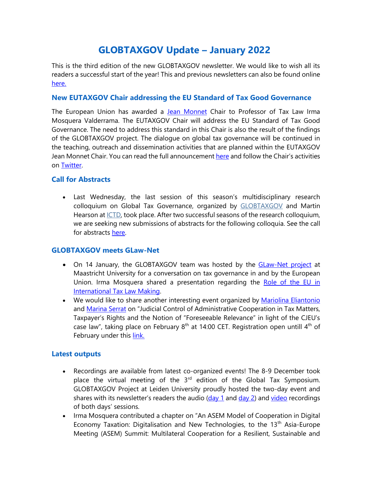# **GLOBTAXGOV Update – January 2022**

This is the third edition of the new GLOBTAXGOV newsletter. We would like to wish all its readers a successful start of the year! This and previous newsletters can also be found online [here.](https://globtaxgov.weblog.leidenuniv.nl/newsletter/)

### **New EUTAXGOV Chair addressing the EU Standard of Tax Good Governance**

The European Union has awarded a [Jean Monnet](https://www.universiteitleiden.nl/en/dossiers/erasmusplus/jean-monnet) Chair to Professor of Tax Law Irma Mosquera Valderrama. The EUTAXGOV Chair will address the EU Standard of Tax Good Governance. The need to address this standard in this Chair is also the result of the findings of the GLOBTAXGOV project. The dialogue on global tax governance will be continued in the teaching, outreach and dissemination activities that are planned within the EUTAXGOV Jean Monnet Chair. You can read the full announcemen[t here](https://www.staff.universiteitleiden.nl/news/2022/01/mosquera-valderrama-awarded-a-jean-monnet-chair-raise-awareness-of-eu-standard-of-tax-good-governance) and follow the Chair's activities on [Twitter.](https://twitter.com/eutaxgov)

# **Call for Abstracts**

• Last Wednesday, the last session of this season's multidisciplinary research colloquium on Global Tax Governance, organized by [GLOBTAXGOV](https://globtaxgov.weblog.leidenuniv.nl/) and Martin Hearson a[t ICTD,](https://www.ictd.ac/) took place. After two successful seasons of the research colloquium, we are seeking new submissions of abstracts for the following colloquia. See the call for abstracts [here.](http://globtaxgov.weblog.leidenuniv.nl/files/2022/01/2022_global-tax-governance-colloquium_cfp.pdf)

# **GLOBTAXGOV meets GLaw-Net**

- On 14 January, the GLOBTAXGOV team was hosted by the [GLaw-Net project](https://www.maastrichtuniversity.nl/about-um/faculties/faculty-law/research/research-groups/globalization-law-network) at Maastricht University for a conversation on tax governance in and by the European Union. Irma Mosquera shared a presentation regarding the Role of the EU in [International Tax Law Making.](https://globtaxgov.weblog.leidenuniv.nl/files/2022/01/Slides-EU-Jean-Monnet-EUTAXGOV-and-GLOBTAXGOV.pdf)
- We would like to share another interesting event organized by [Mariolina Eliantonio](https://www.maastrichtuniversity.nl/m.eliantonio) and [Marina Serrat](https://www.maastrichtuniversity.nl/p70066770) on "Judicial Control of Administrative Cooperation in Tax Matters, Taxpayer's Rights and the Notion of "Foreseeable Relevance" in light of the CJEU's case law", taking place on February  $8<sup>th</sup>$  at 14:00 CET. Registration open untill  $4<sup>th</sup>$  of February under this [link.](https://www.maastrichtuniversity.nl/events/judicial-control-administrative-cooperation-tax-matters-taxpayers%E2%80%99-rights-and-notion-)

# **Latest outputs**

- Recordings are available from latest co-organized events! The 8-9 December took place the virtual meeting of the  $3<sup>rd</sup>$  edition of the Global Tax Symposium. GLOBTAXGOV Project at Leiden University proudly hosted the two-day event and shares with its newsletter's readers the audio [\(day 1](https://drive.google.com/file/d/1kfKWFM6Co5M_dpe4o_9Xkg2efT4XSbXE/view) an[d day 2\)](https://drive.google.com/file/d/13asoWiswPbW6xdqDbDn_qpU-LZwBQzyd/view) and [video](https://www.youtube.com/playlist?list=PLrARaVLmTNT9oxSqNGubUZ92_k8YGUFBq) recordings of both days' sessions.
- Irma Mosquera contributed a chapter on "An ASEM Model of Cooperation in Digital Economy Taxation: Digitalisation and New Technologies, to the 13<sup>th</sup> Asia-Europe Meeting (ASEM) Summit: Multilateral Cooperation for a Resilient, Sustainable and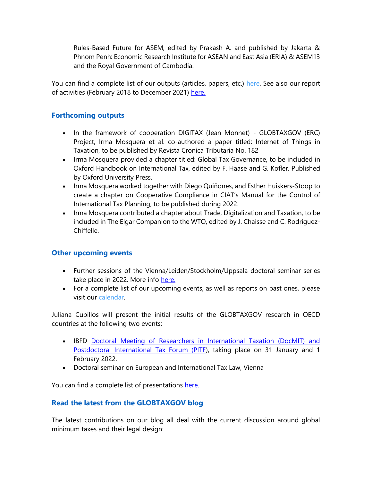Rules-Based Future for ASEM, edited by Prakash A. and published by Jakarta & Phnom Penh: Economic Research Institute for ASEAN and East Asia (ERIA) & ASEM13 and the Royal Government of Cambodia.

You can find a complete list of our outputs (articles, papers, etc.) here. See also our report of activities (February 2018 to December 2021) [here.](https://globtaxgov.weblog.leidenuniv.nl/files/2021/12/SUMMARY-ACTIVITES-AND-OUTPUT-ERC-PROJECT-GLOBTAXGOV-december-2021-1.pdf)

## **Forthcoming outputs**

- In the framework of cooperation DIGITAX (Jean Monnet) GLOBTAXGOV (ERC) Project, Irma Mosquera et al. co-authored a paper titled: Internet of Things in Taxation, to be published by Revista Cronica Tributaria No. 182
- Irma Mosquera provided a chapter titled: Global Tax Governance, to be included in Oxford Handbook on International Tax, edited by F. Haase and G. Kofler. Published by Oxford University Press.
- Irma Mosquera worked together with Diego Quiñones, and Esther Huiskers-Stoop to create a chapter on Cooperative Compliance in CIAT's Manual for the Control of International Tax Planning, to be published during 2022.
- Irma Mosquera contributed a chapter about Trade, Digitalization and Taxation, to be included in The Elgar Companion to the WTO, edited by J. Chaisse and C. Rodriguez-Chiffelle.

#### **Other upcoming events**

- Further sessions of the Vienna/Leiden/Stockholm/Uppsala doctoral seminar series take place in 2022. More info [here.](https://globtaxgov.weblog.leidenuniv.nl/event/phd-seminar-cooperation-with-leiden-university-wu-wien-uppsala-university-and-stockholm-university-2/?instance_id=149)
- For a complete list of our upcoming events, as well as reports on past ones, please visit our calendar.

Juliana Cubillos will present the initial results of the GLOBTAXGOV research in OECD countries at the following two events:

- IBFD [Doctoral Meeting of Researchers in International Taxation \(DocMIT\) and](https://globtaxgov.weblog.leidenuniv.nl/calendar/)  [Postdoctoral International Tax Forum \(PITF\)](https://globtaxgov.weblog.leidenuniv.nl/calendar/), taking place on 31 January and 1 February 2022.
- Doctoral seminar on European and International Tax Law, Vienna

You can find a complete list of presentations [here.](https://globtaxgov.weblog.leidenuniv.nl/presentations-2/)

# **Read the latest from the GLOBTAXGOV blog**

The latest contributions on our blog all deal with the current discussion around global minimum taxes and their legal design: